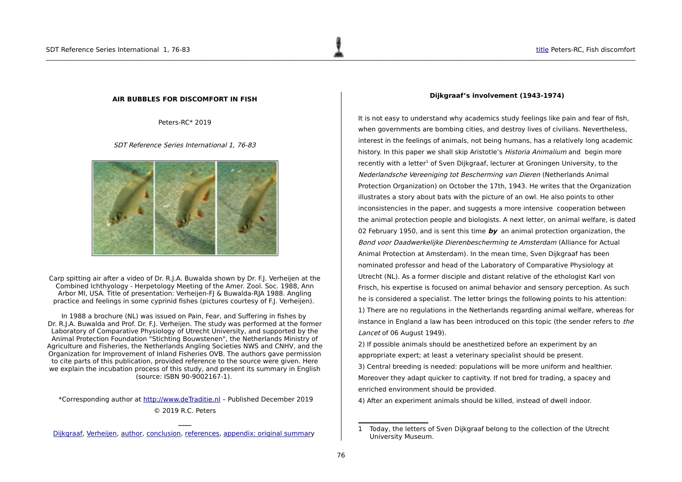#### <span id="page-0-0"></span>**AIR BUBBLES FOR DISCOMFORT IN FISH**

Peters-RC\* 2019

SDT Reference Series International 1, 76-83



Carp spitting air after a video of Dr. R.J.A. Buwalda shown by Dr. F.J. Verheijen at the Combined Ichthyology - Herpetology Meeting of the Amer. Zool. Soc. 1988, Ann Arbor MI, USA. Title of presentation: Verheijen-FJ & Buwalda-RJA 1988. Angling practice and feelings in some cyprinid fishes (pictures courtesy of F.J. Verheijen).

In 1988 a brochure (NL) was issued on Pain, Fear, and Suffering in fishes by Dr. R.J.A. Buwalda and Prof. Dr. F.J. Verheijen. The study was performed at the former Laboratory of Comparative Physiology of Utrecht University, and supported by the Animal Protection Foundation "Stichting Bouwstenen", the Netherlands Ministry of Agriculture and Fisheries, the Netherlands Angling Societies NWS and CNHV, and the Organization for Improvement of Inland Fisheries OVB. The authors gave permission to cite parts of this publication, provided reference to the source were given. Here we explain the incubation process of this study, and present its summary in English (source: ISBN 90-9002167-1).

 \*Corresponding author at [http://www.deTraditie.nl](http://www.deTraditie.nl/) – Published December 2019 © 2019 R.C. Peters

**\_\_\_\_** [Dijkgraaf,](#page-0-1) [Verheijen,](#page-2-1) [author,](#page-2-0) [conclusion,](#page-3-1) [references,](#page-3-0) [appendix: original summary](#page-4-0)

#### <span id="page-0-1"></span>**Dijkgraaf's involvement (1943-1974)**

It is not easy to understand why academics study feelings like pain and fear of fish, when governments are bombing cities, and destroy lives of civilians. Nevertheless, interest in the feelings of animals, not being humans, has a relatively long academic history. In this paper we shall skip Aristotle's Historia Animalium and begin more recently with a letter<sup>[1](#page-0-2)</sup> of Sven Dijkgraaf, lecturer at Groningen University, to the Nederlandsche Vereeniging tot Bescherming van Dieren (Netherlands Animal Protection Organization) on October the 17th, 1943. He writes that the Organization illustrates a story about bats with the picture of an owl. He also points to other inconsistencies in the paper, and suggests a more intensive cooperation between the animal protection people and biologists. A next letter, on animal welfare, is dated 02 February 1950, and is sent this time **by** an animal protection organization, the Bond voor Daadwerkelijke Dierenbescherming te Amsterdam (Alliance for Actual Animal Protection at Amsterdam). In the mean time, Sven Dijkgraaf has been nominated professor and head of the Laboratory of Comparative Physiology at Utrecht (NL). As a former disciple and distant relative of the ethologist Karl von Frisch, his expertise is focused on animal behavior and sensory perception. As such he is considered a specialist. The letter brings the following points to his attention: 1) There are no regulations in the Netherlands regarding animal welfare, whereas for instance in England a law has been introduced on this topic (the sender refers to the Lancet of 06 August 1949).

2) If possible animals should be anesthetized before an experiment by an appropriate expert; at least a veterinary specialist should be present.

3) Central breeding is needed: populations will be more uniform and healthier. Moreover they adapt quicker to captivity. If not bred for trading, a spacey and enriched environment should be provided.

4) After an experiment animals should be killed, instead of dwell indoor.

<span id="page-0-2"></span><sup>1</sup> Today, the letters of Sven Dijkgraaf belong to the collection of the Utrecht University Museum.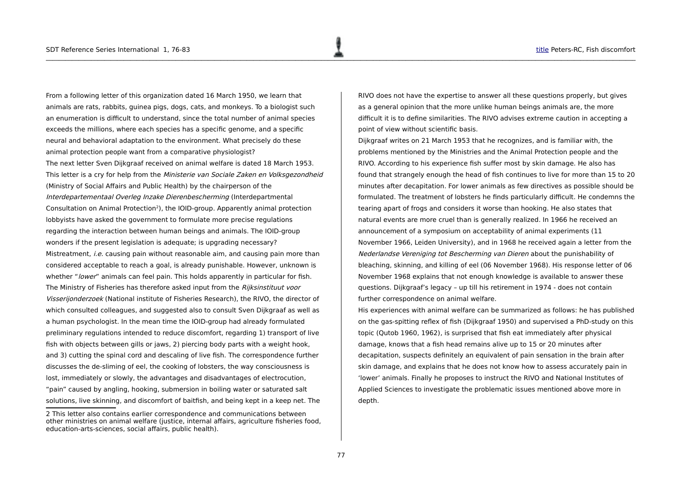From a following letter of this organization dated 16 March 1950, we learn that animals are rats, rabbits, guinea pigs, dogs, cats, and monkeys. To a biologist such an enumeration is difficult to understand, since the total number of animal species exceeds the millions, where each species has a specific genome, and a specific neural and behavioral adaptation to the environment. What precisely do these animal protection people want from a comparative physiologist? The next letter Sven Dijkgraaf received on animal welfare is dated 18 March 1953. This letter is a cry for help from the Ministerie van Sociale Zaken en Volksgezondheid (Ministry of Social Affairs and Public Health) by the chairperson of the Interdepartementaal Overleg Inzake Dierenbescherming (Interdepartmental Consultation on Animal Protection<sup>[2](#page-1-0)</sup>), the IOID-group. Apparently animal protection lobbyists have asked the government to formulate more precise regulations regarding the interaction between human beings and animals. The IOID-group wonders if the present legislation is adequate; is upgrading necessary? Mistreatment, *i.e.* causing pain without reasonable aim, and causing pain more than considered acceptable to reach a goal, is already punishable. However, unknown is whether "*lower*" animals can feel pain. This holds apparently in particular for fish. The Ministry of Fisheries has therefore asked input from the Rijksinstituut voor Visserijonderzoek (National institute of Fisheries Research), the RIVO, the director of which consulted colleagues, and suggested also to consult Sven Dijkgraaf as well as a human psychologist. In the mean time the IOID-group had already formulated preliminary regulations intended to reduce discomfort, regarding 1) transport of live fish with objects between gills or jaws, 2) piercing body parts with a weight hook, and 3) cutting the spinal cord and descaling of live fish. The correspondence further discusses the de-sliming of eel, the cooking of lobsters, the way consciousness is lost, immediately or slowly, the advantages and disadvantages of electrocution, "pain" caused by angling, hooking, submersion in boiling water or saturated salt solutions, live skinning, and discomfort of baitfish, and being kept in a keep net. The

RIVO does not have the expertise to answer all these questions properly, but gives as a general opinion that the more unlike human beings animals are, the more difficult it is to define similarities. The RIVO advises extreme caution in accepting a point of view without scientific basis.

Dijkgraaf writes on 21 March 1953 that he recognizes, and is familiar with, the problems mentioned by the Ministries and the Animal Protection people and the RIVO. According to his experience fish suffer most by skin damage. He also has found that strangely enough the head of fish continues to live for more than 15 to 20 minutes after decapitation. For lower animals as few directives as possible should be formulated. The treatment of lobsters he finds particularly difficult. He condemns the tearing apart of frogs and considers it worse than hooking. He also states that natural events are more cruel than is generally realized. In 1966 he received an announcement of a symposium on acceptability of animal experiments (11 November 1966, Leiden University), and in 1968 he received again a letter from the Nederlandse Vereniging tot Bescherming van Dieren about the punishability of bleaching, skinning, and killing of eel (06 November 1968). His response letter of 06 November 1968 explains that not enough knowledge is available to answer these questions. Dijkgraaf's legacy – up till his retirement in 1974 - does not contain further correspondence on animal welfare.

His experiences with animal welfare can be summarized as follows: he has published on the gas-spitting reflex of fish (Dijkgraaf 1950) and supervised a PhD-study on this topic (Qutob 1960, 1962), is surprised that fish eat immediately after physical damage, knows that a fish head remains alive up to 15 or 20 minutes after decapitation, suspects definitely an equivalent of pain sensation in the brain after skin damage, and explains that he does not know how to assess accurately pain in 'lower' animals. Finally he proposes to instruct the RIVO and National Institutes of Applied Sciences to investigate the problematic issues mentioned above more in depth.

<span id="page-1-0"></span><sup>2</sup> This letter also contains earlier correspondence and communications between other ministries on animal welfare (justice, internal affairs, agriculture fisheries food, education-arts-sciences, social affairs, public health).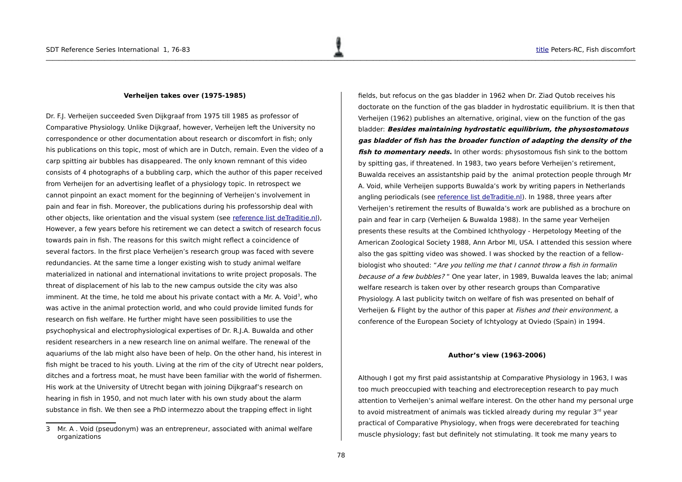#### <span id="page-2-1"></span>**Verheijen takes over (1975-1985)**

Dr. F.J. Verheijen succeeded Sven Dijkgraaf from 1975 till 1985 as professor of Comparative Physiology. Unlike Dijkgraaf, however, Verheijen left the University no correspondence or other documentation about research or discomfort in fish; only his publications on this topic, most of which are in Dutch, remain. Even the video of a carp spitting air bubbles has disappeared. The only known remnant of this video consists of 4 photographs of a bubbling carp, which the author of this paper received from Verheijen for an advertising leaflet of a physiology topic. In retrospect we cannot pinpoint an exact moment for the beginning of Verheijen's involvement in pain and fear in fish. Moreover, the publications during his professorship deal with other objects, like orientation and the visual system (see [reference list deTraditie.nl\)](http://www.detraditie.nl/sdt_museum/sdt_uk_expo_utr_vf_lit80.html), However, a few years before his retirement we can detect a switch of research focus towards pain in fish. The reasons for this switch might reflect a coincidence of several factors. In the first place Verheijen's research group was faced with severe redundancies. At the same time a longer existing wish to study animal welfare materialized in national and international invitations to write project proposals. The threat of displacement of his lab to the new campus outside the city was also imminent. At the time, he told me about his private contact with a Mr. A. Void<sup>[3](#page-2-2)</sup>, who was active in the animal protection world, and who could provide limited funds for research on fish welfare. He further might have seen possibilities to use the psychophysical and electrophysiological expertises of Dr. R.J.A. Buwalda and other resident researchers in a new research line on animal welfare. The renewal of the aquariums of the lab might also have been of help. On the other hand, his interest in fish might be traced to his youth. Living at the rim of the city of Utrecht near polders, ditches and a fortress moat, he must have been familiar with the world of fishermen. His work at the University of Utrecht began with joining Dijkgraaf's research on hearing in fish in 1950, and not much later with his own study about the alarm substance in fish. We then see a PhD intermezzo about the trapping effect in light

fields, but refocus on the gas bladder in 1962 when Dr. Ziad Qutob receives his doctorate on the function of the gas bladder in hydrostatic equilibrium. It is then that Verheijen (1962) publishes an alternative, original, view on the function of the gas bladder: **Besides maintaining hydrostatic equilibrium, the physostomatous gas bladder of fish has the broader function of adapting the density of the fish to momentary needs.** In other words: physostomous fish sink to the bottom by spitting gas, if threatened. In 1983, two years before Verheijen's retirement, Buwalda receives an assistantship paid by the animal protection people through Mr A. Void, while Verheijen supports Buwalda's work by writing papers in Netherlands angling periodicals (see [reference list deTraditie.nl\)](http://www.detraditie.nl/sdt_museum/sdt_uk_expo_utr_vf_lit80.html). In 1988, three years after Verheijen's retirement the results of Buwalda's work are published as a brochure on pain and fear in carp (Verheijen & Buwalda 1988). In the same year Verheijen presents these results at the Combined Ichthyology - Herpetology Meeting of the American Zoological Society 1988, Ann Arbor MI, USA. I attended this session where also the gas spitting video was showed. I was shocked by the reaction of a fellowbiologist who shouted: "Are you telling me that I cannot throw a fish in formalin because of a few bubbles? " One year later, in 1989, Buwalda leaves the lab; animal welfare research is taken over by other research groups than Comparative Physiology. A last publicity twitch on welfare of fish was presented on behalf of Verheijen & Flight by the author of this paper at Fishes and their environment, a conference of the European Society of Ichtyology at Oviedo (Spain) in 1994.

#### <span id="page-2-0"></span>**Author's view (1963-2006)**

Although I got my first paid assistantship at Comparative Physiology in 1963, I was too much preoccupied with teaching and electroreception research to pay much attention to Verheijen's animal welfare interest. On the other hand my personal urge to avoid mistreatment of animals was tickled already during my regular  $3<sup>rd</sup>$  year practical of Comparative Physiology, when frogs were decerebrated for teaching muscle physiology; fast but definitely not stimulating. It took me many years to

<span id="page-2-2"></span><sup>3</sup> Mr. A . Void (pseudonym) was an entrepreneur, associated with animal welfare organizations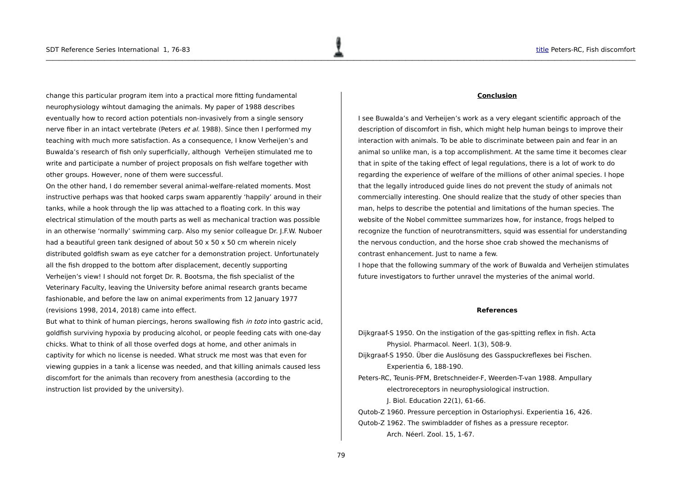change this particular program item into a practical more fitting fundamental neurophysiology wihtout damaging the animals. My paper of 1988 describes eventually how to record action potentials non-invasively from a single sensory nerve fiber in an intact vertebrate (Peters et al. 1988). Since then I performed my teaching with much more satisfaction. As a consequence, I know Verheijen's and Buwalda's research of fish only superficially, although Verheijen stimulated me to write and participate a number of project proposals on fish welfare together with other groups. However, none of them were successful.

On the other hand, I do remember several animal-welfare-related moments. Most instructive perhaps was that hooked carps swam apparently 'happily' around in their tanks, while a hook through the lip was attached to a floating cork. In this way electrical stimulation of the mouth parts as well as mechanical traction was possible in an otherwise 'normally' swimming carp. Also my senior colleague Dr. J.F.W. Nuboer had a beautiful green tank designed of about 50 x 50 x 50 cm wherein nicely distributed goldfish swam as eye catcher for a demonstration project. Unfortunately all the fish dropped to the bottom after displacement, decently supporting Verheijen's view! I should not forget Dr. R. Bootsma, the fish specialist of the Veterinary Faculty, leaving the University before animal research grants became fashionable, and before the law on animal experiments from 12 January 1977 (revisions 1998, 2014, 2018) came into effect.

But what to think of human piercings, herons swallowing fish in toto into gastric acid, goldfish surviving hypoxia by producing alcohol, or people feeding cats with one-day chicks. What to think of all those overfed dogs at home, and other animals in captivity for which no license is needed. What struck me most was that even for viewing guppies in a tank a license was needed, and that killing animals caused less discomfort for the animals than recovery from anesthesia (according to the instruction list provided by the university).

### <span id="page-3-1"></span>**Conclusion**

I see Buwalda's and Verheijen's work as a very elegant scientific approach of the description of discomfort in fish, which might help human beings to improve their interaction with animals. To be able to discriminate between pain and fear in an animal so unlike man, is a top accomplishment. At the same time it becomes clear that in spite of the taking effect of legal regulations, there is a lot of work to do regarding the experience of welfare of the millions of other animal species. I hope that the legally introduced guide lines do not prevent the study of animals not commercially interesting. One should realize that the study of other species than man, helps to describe the potential and limitations of the human species. The website of the Nobel committee summarizes how, for instance, frogs helped to recognize the function of neurotransmitters, squid was essential for understanding the nervous conduction, and the horse shoe crab showed the mechanisms of contrast enhancement. Just to name a few.

I hope that the following summary of the work of Buwalda and Verheijen stimulates future investigators to further unravel the mysteries of the animal world.

#### <span id="page-3-0"></span>**References**

Dijkgraaf-S 1950. On the instigation of the gas-spitting reflex in fish. Acta Physiol. Pharmacol. Neerl. 1(3), 508-9. Dijkgraaf-S 1950. Über die Auslösung des Gasspuckreflexes bei Fischen. Experientia 6, 188-190. Peters-RC, Teunis-PFM, Bretschneider-F, Weerden-T-van 1988. Ampullary electroreceptors in neurophysiological instruction. J. Biol. Education 22(1), 61-66. Qutob-Z 1960. Pressure perception in Ostariophysi. Experientia 16, 426. Qutob-Z 1962. The swimbladder of fishes as a pressure receptor. Arch. Néerl. Zool. 15, 1-67.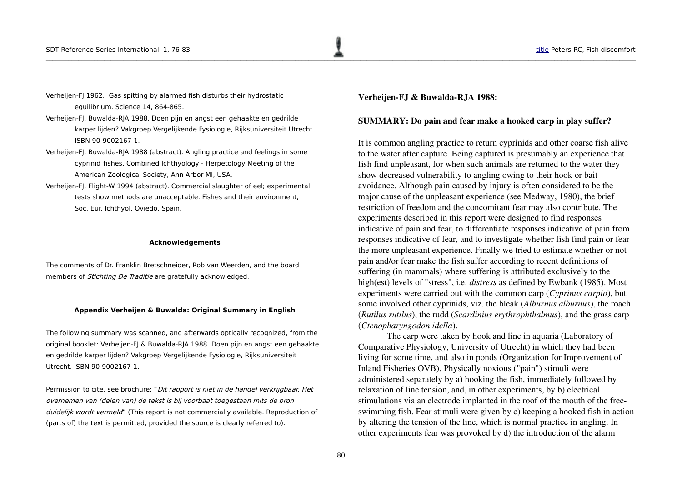- Verheijen-FJ 1962. Gas spitting by alarmed fish disturbs their hydrostatic equilibrium. Science 14, 864-865.
- Verheijen-FJ, Buwalda-RJA 1988. Doen pijn en angst een gehaakte en gedrilde karper lijden? Vakgroep Vergelijkende Fysiologie, Rijksuniversiteit Utrecht. ISBN 90-9002167-1.
- Verheijen-FJ, Buwalda-RJA 1988 (abstract). Angling practice and feelings in some cyprinid fishes. Combined Ichthyology - Herpetology Meeting of the American Zoological Society, Ann Arbor MI, USA.
- Verheijen-FJ, Flight-W 1994 (abstract). Commercial slaughter of eel; experimental tests show methods are unacceptable. Fishes and their environment, Soc. Eur. Ichthyol. Oviedo, Spain.

#### **Acknowledgements**

The comments of Dr. Franklin Bretschneider, Rob van Weerden, and the board members of *Stichting De Traditie* are gratefully acknowledged.

#### **Appendix Verheijen & Buwalda: Original Summary in English**

The following summary was scanned, and afterwards optically recognized, from the original booklet: Verheijen-FJ & Buwalda-RJA 1988. Doen pijn en angst een gehaakte en gedrilde karper lijden? Vakgroep Vergelijkende Fysiologie, Rijksuniversiteit Utrecht. ISBN 90-9002167-1.

Permission to cite, see brochure: "Dit rapport is niet in de handel verkrijgbaar. Het overnemen van (delen van) de tekst is bij voorbaat toegestaan mits de bron duidelijk wordt vermeld" (This report is not commercially available. Reproduction of (parts of) the text is permitted, provided the source is clearly referred to).

<span id="page-4-0"></span>Verheijen-FJ & Buwalda-RJA 1988:

### SUMMARY: Do pain and fear make a hooked carp in play suffer?

It is common angling practice to return cyprinids and other coarse fish alive to the water after capture. Being captured is presumably an experience that fish find unpleasant, for when such animals are returned to the water they show decreased vulnerability to angling owing to their hook or bait avoidance. Although pain caused by injury is often considered to be the major cause of the unpleasant experience (see Medway, 1980), the brief restriction of freedom and the concomitant fear may also contribute. The experiments described in this report were designed to find responses indicative of pain and fear, to differentiate responses indicative of pain from responses indicative of fear, and to investigate whether fish find pain or fear the more unpleasant experience. Finally we tried to estimate whether or not pain and/or fear make the fish suffer according to recent definitions of suffering (in mammals) where suffering is attributed exclusively to the high(est) levels of "stress", i.e. *distress* as defined by Ewbank (1985). Most experiments were carried out with the common carp (*Cyprinus carpio*), but some involved other cyprinids, viz. the bleak (*Alburnus alburnus*), the roach (*Rutilus rutilus*), the rudd (*Scardinius erythrophthalmus*), and the grass carp (*Ctenopharyngodon idella*).

The carp were taken by hook and line in aquaria (Laboratory of Comparative Physiology, University of Utrecht) in which they had been living for some time, and also in ponds (Organization for Improvement of Inland Fisheries OVB). Physically noxious ("pain") stimuli were administered separately by a) hooking the fish, immediately followed by relaxation of line tension, and, in other experiments, by b) electrical stimulations via an electrode implanted in the roof of the mouth of the freeswimming fish. Fear stimuli were given by c) keeping a hooked fish in action by altering the tension of the line, which is normal practice in angling. In other experiments fear was provoked by d) the introduction of the alarm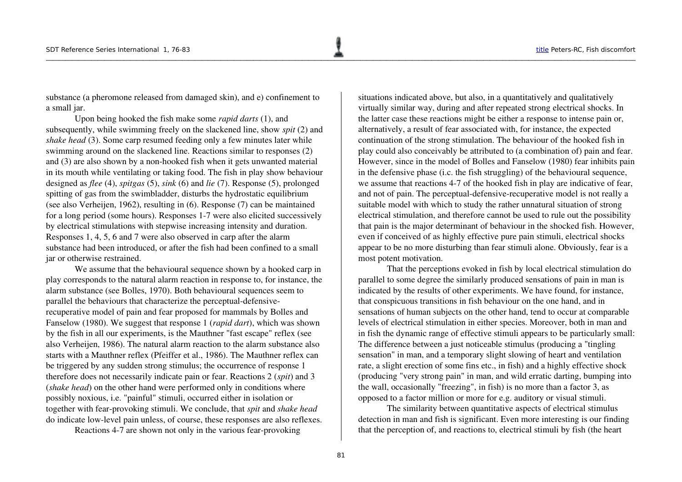where the contribution of the contribution of  $\mathbb{R}^n$  . The contribution of the contribution of the contribution of the contribution of the contribution of the contribution of the contribution of the contribution of th

substance (a pheromone released from damaged skin), and e) confinement to a small jar.

Upon being hooked the fish make some *rapid darts* (1), and subsequently, while swimming freely on the slackened line, show *spit* (2) and *shake head* (3). Some carp resumed feeding only a few minutes later while swimming around on the slackened line. Reactions similar to responses (2) and  $(3)$  are also shown by a non-hooked fish when it gets unwanted material in its mouth while ventilating or taking food. The fish in play show behaviour designed as *flee* (4), *spitgas* (5), *sink* (6) and *lie* (7). Response (5), prolonged spitting of gas from the swimbladder, disturbs the hydrostatic equilibrium (see also Verheijen, 1962), resulting in (6). Response (7) can be maintained for a long period (some hours). Responses 17 were also elicited successively by electrical stimulations with stepwise increasing intensity and duration. Responses 1, 4, 5, 6 and 7 were also observed in carp after the alarm substance had been introduced, or after the fish had been confined to a small jar or otherwise restrained.

We assume that the behavioural sequence shown by a hooked carp in play corresponds to the natural alarm reaction in response to, for instance, the alarm substance (see Bolles, 1970). Both behavioural sequences seem to parallel the behaviours that characterize the perceptual-defensiverecuperative model of pain and fear proposed for mammals by Bolles and Fanselow (1980). We suggest that response 1 (*rapid dart*), which was shown by the fish in all our experiments, is the Mauthner "fast escape" reflex (see also Verheijen, 1986). The natural alarm reaction to the alarm substance also starts with a Mauthner reflex (Pfeiffer et al., 1986). The Mauthner reflex can be triggered by any sudden strong stimulus; the occurrence of response 1 therefore does not necessarily indicate pain or fear. Reactions 2 (*spit*) and 3 (*shake head*) on the other hand were performed only in conditions where possibly noxious, i.e. "painful" stimuli, occurred either in isolation or together with fear-provoking stimuli. We conclude, that *spit* and *shake head* do indicate low-level pain unless, of course, these responses are also reflexes.

Reactions 4-7 are shown not only in the various fear-provoking

situations indicated above, but also, in a quantitatively and qualitatively virtually similar way, during and after repeated strong electrical shocks. In the latter case these reactions might be either a response to intense pain or, alternatively, a result of fear associated with, for instance, the expected continuation of the strong stimulation. The behaviour of the hooked fish in play could also conceivably be attributed to (a combination of) pain and fear. However, since in the model of Bolles and Fanselow (1980) fear inhibits pain in the defensive phase (i.c. the fish struggling) of the behavioural sequence, we assume that reactions 4-7 of the hooked fish in play are indicative of fear, and not of pain. The perceptual-defensive-recuperative model is not really a suitable model with which to study the rather unnatural situation of strong electrical stimulation, and therefore cannot be used to rule out the possibility that pain is the major determinant of behaviour in the shocked fish. However, even if conceived of as highly effective pure pain stimuli, electrical shocks appear to be no more disturbing than fear stimuli alone. Obviously, fear is a most potent motivation.

That the perceptions evoked in fish by local electrical stimulation do parallel to some degree the similarly produced sensations of pain in man is indicated by the results of other experiments. We have found, for instance, that conspicuous transitions in fish behaviour on the one hand, and in sensations of human subjects on the other hand, tend to occur at comparable levels of electrical stimulation in either species. Moreover, both in man and in fish the dynamic range of effective stimuli appears to be particularly small: The difference between a just noticeable stimulus (producing a "tingling sensation" in man, and a temporary slight slowing of heart and ventilation rate, a slight erection of some fins etc., in fish) and a highly effective shock (producing "very strong pain" in man, and wild erratic darting, bumping into the wall, occasionally "freezing", in fish) is no more than a factor 3, as opposed to a factor million or more for e.g. auditory or visual stimuli.

The similarity between quantitative aspects of electrical stimulus detection in man and fish is significant. Even more interesting is our finding that the perception of, and reactions to, electrical stimuli by fish (the heart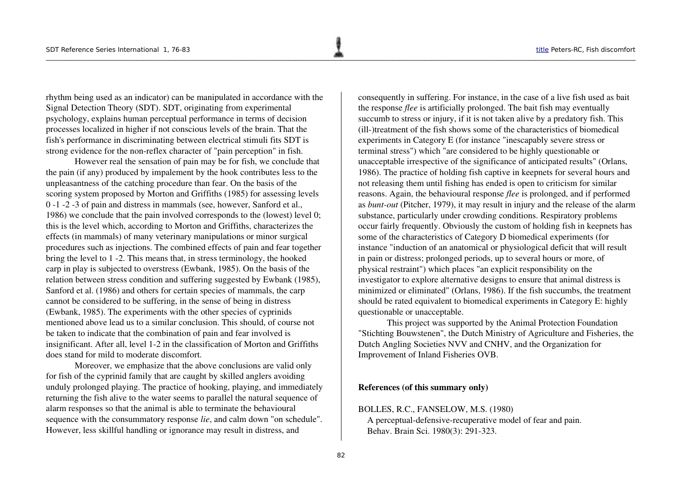rhythm being used as an indicator) can be manipulated in accordance with the Signal Detection Theory (SDT). SDT, originating from experimental psychology, explains human perceptual performance in terms of decision processes localized in higher if not conscious levels of the brain. That the fish's performance in discriminating between electrical stimuli fits SDT is strong evidence for the non-reflex character of "pain perception" in fish.

However real the sensation of pain may be for fish, we conclude that the pain (if any) produced by impalement by the hook contributes less to the unpleasantness of the catching procedure than fear. On the basis of the scoring system proposed by Morton and Griffiths (1985) for assessing levels 0 1 2 3 of pain and distress in mammals (see, however, Sanford et al., 1986) we conclude that the pain involved corresponds to the (lowest) level 0; this is the level which, according to Morton and Griffiths, characterizes the effects (in mammals) of many veterinary manipulations or minor surgical procedures such as injections. The combined effects of pain and fear together bring the level to 1 -2. This means that, in stress terminology, the hooked carp in play is subjected to overstress (Ewbank, 1985). On the basis of the relation between stress condition and suffering suggested by Ewbank (1985), Sanford et al. (1986) and others for certain species of mammals, the carp cannot be considered to be suffering, in the sense of being in distress (Ewbank, 1985). The experiments with the other species of cyprinids mentioned above lead us to a similar conclusion. This should, of course not be taken to indicate that the combination of pain and fear involved is insignificant. After all, level 1-2 in the classification of Morton and Griffiths does stand for mild to moderate discomfort.

Moreover, we emphasize that the above conclusions are valid only for fish of the cyprinid family that are caught by skilled anglers avoiding unduly prolonged playing. The practice of hooking, playing, and immediately returning the fish alive to the water seems to parallel the natural sequence of alarm responses so that the animal is able to terminate the behavioural sequence with the consummatory response *lie*, and calm down "on schedule". However, less skillful handling or ignorance may result in distress, and

consequently in suffering. For instance, in the case of a live fish used as bait the response *flee* is artificially prolonged. The bait fish may eventually succumb to stress or injury, if it is not taken alive by a predatory fish. This  $(i)$ ll- $i$ treatment of the fish shows some of the characteristics of biomedical experiments in Category E (for instance "inescapably severe stress or terminal stress") which "are considered to be highly questionable or unacceptable irrespective of the significance of anticipated results" (Orlans, 1986). The practice of holding fish captive in keepnets for several hours and not releasing them until fishing has ended is open to criticism for similar reasons. Again, the behavioural response *flee* is prolonged, and if performed as *bunt-out* (Pitcher, 1979), it may result in injury and the release of the alarm substance, particularly under crowding conditions. Respiratory problems occur fairly frequently. Obviously the custom of holding fish in keepnets has some of the characteristics of Category D biomedical experiments (for instance "induction of an anatomical or physiological deficit that will result in pain or distress; prolonged periods, up to several hours or more, of physical restraint") which places "an explicit responsibility on the investigator to explore alternative designs to ensure that animal distress is minimized or eliminated" (Orlans, 1986). If the fish succumbs, the treatment should be rated equivalent to biomedical experiments in Category E: highly questionable or unacceptable.

This project was supported by the Animal Protection Foundation "Stichting Bouwstenen", the Dutch Ministry of Agriculture and Fisheries, the Dutch Angling Societies NVV and CNHV, and the Organization for Improvement of Inland Fisheries OVB.

## References (of this summary only)

# BOLLES, R.C., FANSELOW, M.S. (1980)

A perceptual-defensive-recuperative model of fear and pain. Behav. Brain Sci. 1980(3): 291-323.